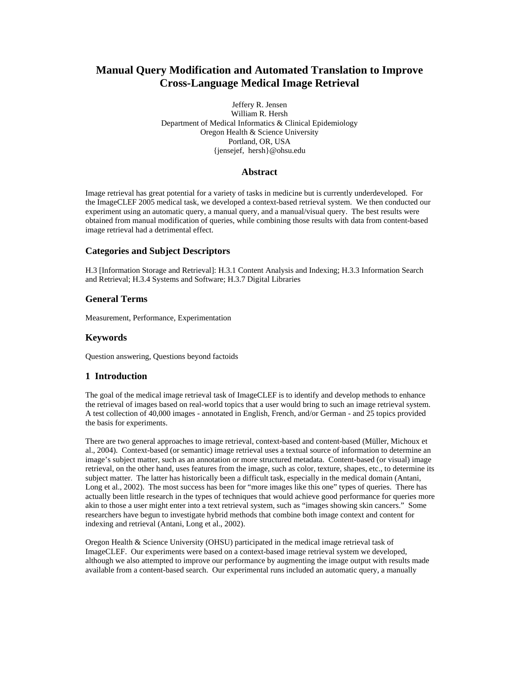# **Manual Query Modification and Automated Translation to Improve Cross-Language Medical Image Retrieval**

Jeffery R. Jensen William R. Hersh Department of Medical Informatics & Clinical Epidemiology Oregon Health & Science University Portland, OR, USA {jensejef, hersh}@ohsu.edu

## **Abstract**

Image retrieval has great potential for a variety of tasks in medicine but is currently underdeveloped. For the ImageCLEF 2005 medical task, we developed a context-based retrieval system. We then conducted our experiment using an automatic query, a manual query, and a manual/visual query. The best results were obtained from manual modification of queries, while combining those results with data from content-based image retrieval had a detrimental effect.

### **Categories and Subject Descriptors**

H.3 [Information Storage and Retrieval]: H.3.1 Content Analysis and Indexing; H.3.3 Information Search and Retrieval; H.3.4 Systems and Software; H.3.7 Digital Libraries

## **General Terms**

Measurement, Performance, Experimentation

#### **Keywords**

Question answering, Questions beyond factoids

## **1 Introduction**

The goal of the medical image retrieval task of ImageCLEF is to identify and develop methods to enhance the retrieval of images based on real-world topics that a user would bring to such an image retrieval system. A test collection of 40,000 images - annotated in English, French, and/or German - and 25 topics provided the basis for experiments.

There are two general approaches to image retrieval, context-based and content-based (Müller, Michoux et al., 2004). Context-based (or semantic) image retrieval uses a textual source of information to determine an image's subject matter, such as an annotation or more structured metadata. Content-based (or visual) image retrieval, on the other hand, uses features from the image, such as color, texture, shapes, etc., to determine its subject matter. The latter has historically been a difficult task, especially in the medical domain (Antani, Long et al., 2002). The most success has been for "more images like this one" types of queries. There has actually been little research in the types of techniques that would achieve good performance for queries more akin to those a user might enter into a text retrieval system, such as "images showing skin cancers." Some researchers have begun to investigate hybrid methods that combine both image context and content for indexing and retrieval (Antani, Long et al., 2002).

Oregon Health & Science University (OHSU) participated in the medical image retrieval task of ImageCLEF. Our experiments were based on a context-based image retrieval system we developed, although we also attempted to improve our performance by augmenting the image output with results made available from a content-based search. Our experimental runs included an automatic query, a manually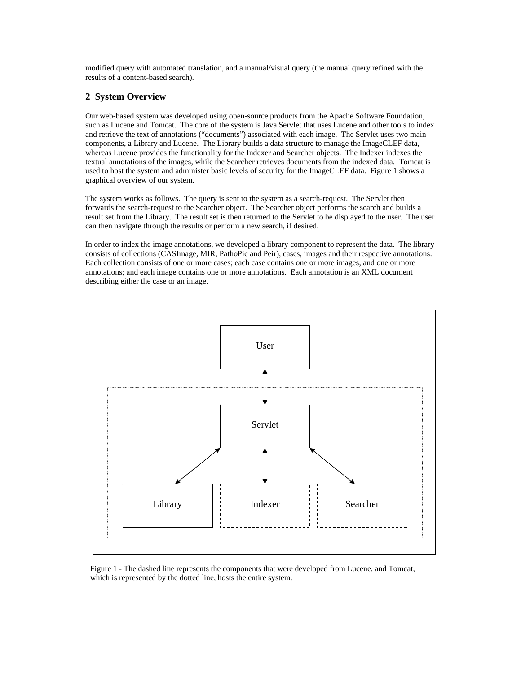modified query with automated translation, and a manual/visual query (the manual query refined with the results of a content-based search).

### **2 System Overview**

Our web-based system was developed using open-source products from the Apache Software Foundation, such as Lucene and Tomcat. The core of the system is Java Servlet that uses Lucene and other tools to index and retrieve the text of annotations ("documents") associated with each image. The Servlet uses two main components, a Library and Lucene. The Library builds a data structure to manage the ImageCLEF data, whereas Lucene provides the functionality for the Indexer and Searcher objects. The Indexer indexes the textual annotations of the images, while the Searcher retrieves documents from the indexed data. Tomcat is used to host the system and administer basic levels of security for the ImageCLEF data. Figure 1 shows a graphical overview of our system.

The system works as follows. The query is sent to the system as a search-request. The Servlet then forwards the search-request to the Searcher object. The Searcher object performs the search and builds a result set from the Library. The result set is then returned to the Servlet to be displayed to the user. The user can then navigate through the results or perform a new search, if desired.

In order to index the image annotations, we developed a library component to represent the data. The library consists of collections (CASImage, MIR, PathoPic and Peir), cases, images and their respective annotations. Each collection consists of one or more cases; each case contains one or more images, and one or more annotations; and each image contains one or more annotations. Each annotation is an XML document describing either the case or an image.



Figure 1 - The dashed line represents the components that were developed from Lucene, and Tomcat, which is represented by the dotted line, hosts the entire system.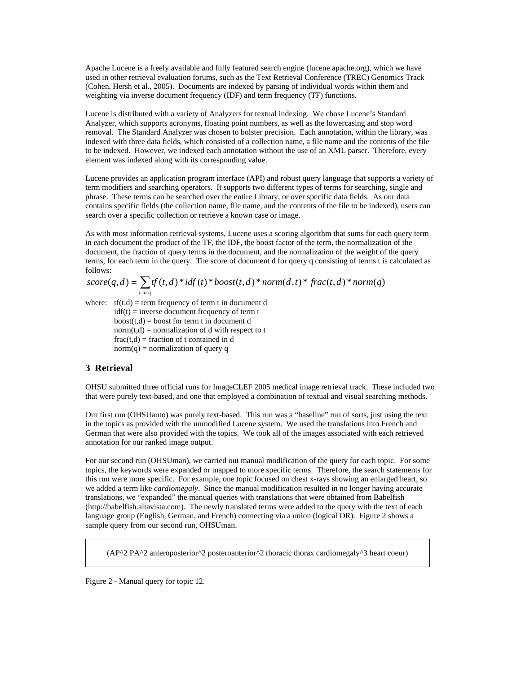Apache Lucene is a freely available and fully featured search engine (lucene.apache.org), which we have used in other retrieval evaluation forums, such as the Text Retrieval Conference (TREC) Genomics Track (Cohen, Hersh et al., 2005). Documents are indexed by parsing of individual words within them and weighting via inverse document frequency (IDF) and term frequency (TF) functions.

Lucene is distributed with a variety of Analyzers for textual indexing. We chose Lucene's Standard Analyzer, which supports acronyms, floating point numbers, as well as the lowercasing and stop word removal. The Standard Analyzer was chosen to bolster precision. Each annotation, within the library, was indexed with three data fields, which consisted of a collection name, a file name and the contents of the file to be indexed. However, we indexed each annotation without the use of an XML parser. Therefore, every element was indexed along with its corresponding value.

Lucene provides an application program interface (API) and robust query language that supports a variety of term modifiers and searching operators. It supports two different types of terms for searching, single and phrase. These terms can be searched over the entire Library, or over specific data fields. As our data contains specific fields (the collection name, file name, and the contents of the file to be indexed), users can search over a specific collection or retrieve a known case or image.

As with most information retrieval systems, Lucene uses a scoring algorithm that sums for each query term in each document the product of the TF, the IDF, the boost factor of the term, the normalization of the document, the fraction of query terms in the document, and the normalization of the weight of the query terms, for each term in the query. The score of document d for query q consisting of terms t is calculated as follows:

$$
score(q, d) = \sum_{t in q} tf(t, d) * idf(t) * boost(t, d) * norm(d, t) * frac(t, d) * norm(q)
$$

where:  $tf(t.d) = term frequency of term t in document d$  $idf(t)$  = inverse document frequency of term t  $boost(t,d) = boost for term t in document d$  $norm(t.d) = normalization of d with respect to t$  $frac(t,d)$  = fraction of t contained in d  $norm(q) = normalization of query q$ 

## **3 Retrieval**

OHSU submitted three official runs for ImageCLEF 2005 medical image retrieval track. These included two that were purely text-based, and one that employed a combination of textual and visual searching methods.

Our first run (OHSUauto) was purely text-based. This run was a "baseline" run of sorts, just using the text in the topics as provided with the unmodified Lucene system. We used the translations into French and German that were also provided with the topics. We took all of the images associated with each retrieved annotation for our ranked image output.

For our second run (OHSUman), we carried out manual modification of the query for each topic. For some topics, the keywords were expanded or mapped to more specific terms. Therefore, the search statements for this run were more specific. For example, one topic focused on chest x-rays showing an enlarged heart, so we added a term like *cardiomegaly*. Since the manual modification resulted in no longer having accurate translations, we "expanded" the manual queries with translations that were obtained from Babelfish (http://babelfish.altavista.com). The newly translated terms were added to the query with the text of each language group (English, German, and French) connecting via a union (logical OR). Figure 2 shows a sample query from our second run, OHSUman.

 $(AP^2 PA^2)$  anteroposterior<sup> $\land$ 2</sup> posteroanterior $\land$ 2 thoracic thorax cardiomegaly $\land$ 3 heart coeur)

Figure 2 - Manual query for topic 12.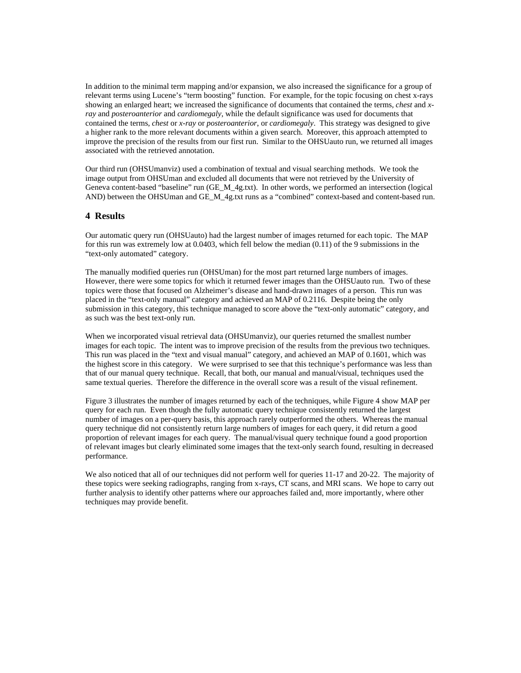In addition to the minimal term mapping and/or expansion, we also increased the significance for a group of relevant terms using Lucene's "term boosting" function. For example, for the topic focusing on chest x-rays showing an enlarged heart; we increased the significance of documents that contained the terms, *chest* and *xray* and *posteroanterior* and *cardiomegaly*, while the default significance was used for documents that contained the terms, *chest* or *x-ray* or *posteroanterior*, or *cardiomegaly*. This strategy was designed to give a higher rank to the more relevant documents within a given search. Moreover, this approach attempted to improve the precision of the results from our first run. Similar to the OHSUauto run, we returned all images associated with the retrieved annotation.

Our third run (OHSUmanviz) used a combination of textual and visual searching methods. We took the image output from OHSUman and excluded all documents that were not retrieved by the University of Geneva content-based "baseline" run (GE\_M\_4g.txt). In other words, we performed an intersection (logical AND) between the OHSUman and GE\_M\_4g.txt runs as a "combined" context-based and content-based run.

#### **4 Results**

Our automatic query run (OHSUauto) had the largest number of images returned for each topic. The MAP for this run was extremely low at 0.0403, which fell below the median (0.11) of the 9 submissions in the "text-only automated" category.

The manually modified queries run (OHSUman) for the most part returned large numbers of images. However, there were some topics for which it returned fewer images than the OHSUauto run. Two of these topics were those that focused on Alzheimer's disease and hand-drawn images of a person. This run was placed in the "text-only manual" category and achieved an MAP of 0.2116. Despite being the only submission in this category, this technique managed to score above the "text-only automatic" category, and as such was the best text-only run.

When we incorporated visual retrieval data (OHSUmanviz), our queries returned the smallest number images for each topic. The intent was to improve precision of the results from the previous two techniques. This run was placed in the "text and visual manual" category, and achieved an MAP of 0.1601, which was the highest score in this category. We were surprised to see that this technique's performance was less than that of our manual query technique. Recall, that both, our manual and manual/visual, techniques used the same textual queries. Therefore the difference in the overall score was a result of the visual refinement.

Figure 3 illustrates the number of images returned by each of the techniques, while Figure 4 show MAP per query for each run. Even though the fully automatic query technique consistently returned the largest number of images on a per-query basis, this approach rarely outperformed the others. Whereas the manual query technique did not consistently return large numbers of images for each query, it did return a good proportion of relevant images for each query. The manual/visual query technique found a good proportion of relevant images but clearly eliminated some images that the text-only search found, resulting in decreased performance.

We also noticed that all of our techniques did not perform well for queries 11-17 and 20-22. The majority of these topics were seeking radiographs, ranging from x-rays, CT scans, and MRI scans. We hope to carry out further analysis to identify other patterns where our approaches failed and, more importantly, where other techniques may provide benefit.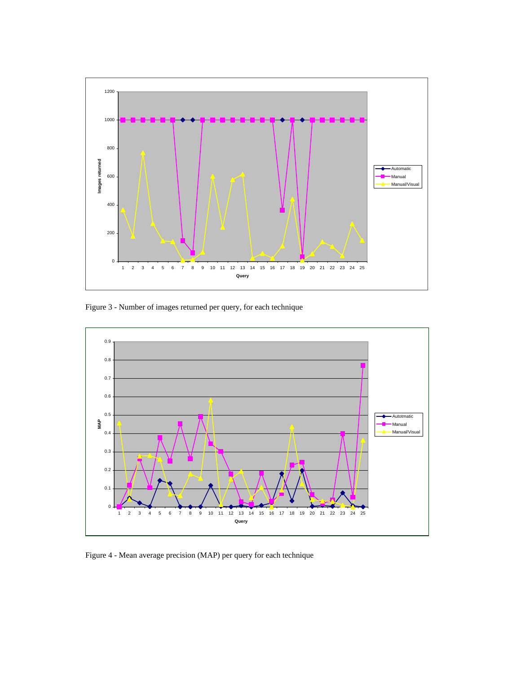

Figure 3 - Number of images returned per query, for each technique



Figure 4 - Mean average precision (MAP) per query for each technique